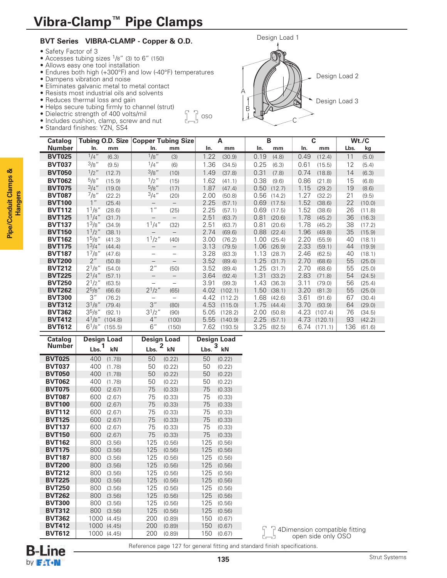# **BVT Series VIBRA-CLAMP - Copper & O.D.**

- Safety Factor of 3
- Accesses tubing sizes 1/8" (3) to 6" (150)
- Allows easy one tool installation
- Endures both high (+300°F) and low (-40°F) temperatures
- Dampens vibration and noise
- Eliminates galvanic metal to metal contact
- Resists most industrial oils and solvents
- Reduces thermal loss and gain
- Helps secure tubing firmly to channel (strut)
- Dielectric strength of 400 volts/mil
- Includes cushion, clamp, screw and nut
- Standard finishes: YZN, SS4



| <b>Catalog</b> |                    |         | Tubing O.D. Size Copper Tubing Size |                          |      | A       |      | B      | C    |         |      | Wt./C  |
|----------------|--------------------|---------|-------------------------------------|--------------------------|------|---------|------|--------|------|---------|------|--------|
| <b>Number</b>  | In.                | mm      | In.                                 | mm                       | In.  | mm      | In.  | mm     | In.  | mm      | Lbs. | kg     |
| <b>BVT025</b>  | $1/4$ "            | (6.3)   | 1/8"                                | (3)                      | 1.22 | (30.9)  | 0.19 | (4.8)  | 0.49 | (12.4)  | 11   | (5.0)  |
| <b>BVT037</b>  | 3/8''              | (9.5)   | $1/4$ "                             | (6)                      | 1.36 | (34.5)  | 0.25 | (6.3)  | 0.61 | (15.5)  | 12   | (5.4)  |
| <b>BVT050</b>  | $1/2$ "            | (12.7)  | 3/8"                                | (10)                     | 1.49 | (37.8)  | 0.31 | (7.8)  | 0.74 | (18.8)  | 14   | (6.3)  |
| <b>BVT062</b>  | 5/8"               | (15.9)  | $1/2$ "                             | (15)                     | 1.62 | (41.1)  | 0.38 | (9.6)  | 0.86 | (21.8)  | 15   | (6.8)  |
| <b>BVT075</b>  | 3/4''              | (19.0)  | 5/8"                                | (17)                     | 1.87 | (47.4)  | 0.50 | (12.7) | 1.15 | (29.2)  | 19   | (8.6)  |
| <b>BVT087</b>  | 7/8"               | (22.2)  | $3/4$ "                             | (20)                     | 2.00 | (50.8)  | 0.56 | (14.2) | 1.27 | (32.2)  | 21   | (9.5)  |
| <b>BVT100</b>  | 1 <sup>''</sup>    | (25.4)  | $\qquad \qquad -$                   | $\overline{\phantom{m}}$ | 2.25 | (57.1)  | 0.69 | (17.5) | 1.52 | (38.6)  | 22   | (10.0) |
| <b>BVT112</b>  | 11/8"              | (28.6)  | $1$ "                               | (25)                     | 2.25 | (57.1)  | 0.69 | (17.5) | 1.52 | (38.6)  | 26   | (11.8) |
| <b>BVT125</b>  | $1^{1}/4$ "        | (31.7)  | $\qquad \qquad -$                   | $\qquad \qquad -$        | 2.51 | (63.7)  | 0.81 | (20.6) | 1.78 | (45.2)  | 36   | (16.3) |
| <b>BVT137</b>  | 1 <sup>3</sup> /8" | (34.9)  | $1^{1}/4''$                         | (32)                     | 2.51 | (63.7)  | 0.81 | (20.6) | 1.78 | (45.2)  | 38   | (17.2) |
| <b>BVT150</b>  | $1^{1/2}$          | (38.1)  | $\qquad \qquad -$                   | $\qquad \qquad -$        | 2.74 | (69.6)  | 0.88 | (22.4) | 1.96 | (49.8)  | 35   | (15.9) |
| <b>BVT162</b>  | 1 <sup>5</sup> /8" | (41.3)  | 1 <sup>1</sup> /2''                 | (40)                     | 3.00 | (76.2)  | 1.00 | (25.4) | 2.20 | (55.9)  | 40   | (18.1) |
| <b>BVT175</b>  | $1^{3}/4$ "        | (44.4)  | $\overline{\phantom{m}}$            | —                        | 3.13 | (79.5)  | 1.06 | (26.9) | 2.33 | (59.1)  | 44   | (19.9) |
| <b>BVT187</b>  | $1^{7}/8$ "        | (47.6)  | $\overline{\phantom{0}}$            | $\overline{\phantom{0}}$ | 3.28 | (83.3)  | 1.13 | (28.7) | 2.46 | (62.5)  | 40   | (18.1) |
| <b>BVT200</b>  | 2"                 | (50.8)  | -                                   | $\overline{\phantom{m}}$ | 3.52 | (89.4)  | 1.25 | (31.7) | 2.70 | (68.6)  | 55   | (25.0) |
| <b>BVT212</b>  | $2^{1/8}$          | (54.0)  | 2"                                  | (50)                     | 3.52 | (89.4)  | 1.25 | (31.7) | 2.70 | (68.6)  | 55   | (25.0) |
| <b>BVT225</b>  | $2^{1}/4$ "        | (57.1)  |                                     | $\qquad \qquad -$        | 3.64 | (92.4)  | 1.31 | (33.2) | 2.83 | (71.8)  | 54   | (24.5) |
| <b>BVT250</b>  | $2^{1}/2$ "        | (63.5)  | $\overline{\phantom{0}}$            |                          | 3.91 | (99.3)  | 1.43 | (36.3) | 3.11 | (79.0)  | 56   | (25.4) |
| <b>BVT262</b>  | $2^{5/8}$ "        | (66.6)  | $2^{1/2}$ "                         | (65)                     | 4.02 | (102.1) | 1.50 | (38.1) | 3.20 | (81.3)  | 55   | (25.0) |
| <b>BVT300</b>  | 3''                | (76.2)  | $\overline{\phantom{m}}$            | $\overline{\phantom{m}}$ | 4.42 | (112.2) | 1.68 | (42.6) | 3.61 | (91.6)  | 67   | (30.4) |
| <b>BVT312</b>  | $3^{1}/8$ "        | (79.4)  | 3''                                 | (80)                     | 4.53 | (115.0) | 1.75 | (44.4) | 3.70 | (93.9)  | 64   | (29.0) |
| <b>BVT362</b>  | $35/8$ "           | (92.1)  | $3^{1}/2$ "                         | (90)                     | 5.05 | (128.2) | 2.00 | (50.8) | 4.23 | (107.4) | 76   | (34.5) |
| <b>BVT412</b>  | $4^{1}/8$ "        | (104.8) | $4$ "                               | (100)                    | 5.55 | (140.9) | 2.25 | (57.1) | 4.73 | (120.1) | 93   | (42.2) |
| <b>BVT612</b>  | $6^{1}/8"$         | (155.5) | 6''                                 | (150)                    | 7.62 | (193.5) | 3.25 | (82.5) | 6.74 | (171.1) | 136  | (61.6) |

 $\int_{-\infty}^{\infty} \int_0^{\infty}$  oso

| Catalog       | Design Load |        | Design Load |                    | Design Load |         |  |
|---------------|-------------|--------|-------------|--------------------|-------------|---------|--|
| <b>Number</b> | 1<br>Lbs.   | kN     | Lbs.        | $\mathbf{2}$<br>kN | Lbs.        | 3<br>kN |  |
| <b>BVT025</b> | 400         | (1.78) | 50          | (0.22)             | 50          | (0.22)  |  |
| <b>BVT037</b> | 400         | (1.78) | 50          | (0.22)             | 50          | (0.22)  |  |
| <b>BVT050</b> | 400         | (1.78) | 50          | (0.22)             | 50          | (0.22)  |  |
| <b>BVT062</b> | 400         | (1.78) | 50          | (0.22)             | 50          | (0.22)  |  |
| <b>BVT075</b> | 600         | (2.67) | 75          | (0.33)             | 75          | (0.33)  |  |
| <b>BVT087</b> | 600         | (2.67) | 75          | (0.33)             | 75          | (0.33)  |  |
| <b>BVT100</b> | 600         | (2.67) | 75          | (0.33)             | 75          | (0.33)  |  |
| <b>BVT112</b> | 600         | (2.67) | 75          | (0.33)             | 75          | (0.33)  |  |
| <b>BVT125</b> | 600         | (2.67) | 75          | (0.33)             | 75          | (0.33)  |  |
| <b>BVT137</b> | 600         | (2.67) | 75          | (0.33)             | 75          | (0.33)  |  |
| <b>BVT150</b> | 600         | (2.67) | 75          | (0.33)             | 75          | (0.33)  |  |
| <b>BVT162</b> | 800         | (3.56) | 125         | (0.56)             | 125         | (0.56)  |  |
| <b>BVT175</b> | 800         | (3.56) | 125         | (0.56)             | 125         | (0.56)  |  |
| <b>BVT187</b> | 800         | (3.56) | 125         | (0.56)             | 125         | (0.56)  |  |
| <b>BVT200</b> | 800         | (3.56) | 125         | (0.56)             | 125         | (0.56)  |  |
| <b>BVT212</b> | 800         | (3.56) | 125         | (0.56)             | 125         | (0.56)  |  |
| <b>BVT225</b> | 800         | (3.56) | 125         | (0.56)             | 125         | (0.56)  |  |
| <b>BVT250</b> | 800         | (3.56) | 125         | (0.56)             | 125         | (0.56)  |  |
| <b>BVT262</b> | 800         | (3.56) | 125         | (0.56)             | 125         | (0.56)  |  |
| <b>BVT300</b> | 800         | (3.56) | 125         | (0.56)             | 125         | (0.56)  |  |
| <b>BVT312</b> | 800         | (3.56) | 125         | (0.56)             | 125         | (0.56)  |  |
| <b>BVT362</b> | 1000        | (4.45) | 200         | (0.89)             | 150         | (0.67)  |  |
| <b>BVT412</b> | 1000        | (4.45) | 200         | (0.89)             | 150         | (0.67)  |  |
| <b>BVT612</b> | 1000        | (4.45) | 200         | (0.89)             | 150         | (0.67)  |  |



Reference page 127 for general fitting and standard finish specifications.

**Pipe/Conduit Clamps & Hangers**

Pipe/Conduit Clamps &

4Dimension compatible fitting open side only OSO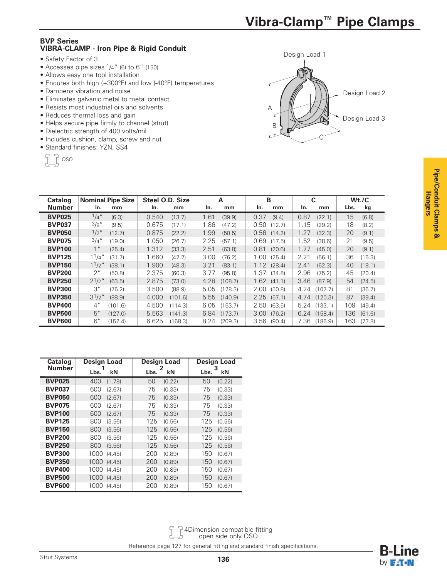# **BVP Series VIBRA-CLAMP - Iron Pipe & Rigid Conduit**

- Safety Factor of 3
- $\bullet$  Accesses pipe sizes  $1/4$ " (6) to 6" (150)
- Allows easy one tool installation
- Endures both high (+300°F) and low (-40°F) temperatures
- Dampens vibration and noise
- Eliminates galvanic metal to metal contact
- Resists most industrial oils and solvents
- Reduces thermal loss and gain
- Helps secure pipe firmly to channel (strut)
- Dielectric strength of 400 volts/mil
- Includes cushion, clamp, screw and nut
- Standard finishes: YZN, SS4

|  | ٠<br>٠ |
|--|--------|
|  |        |
|  |        |



| <b>Catalog</b> | <b>Nominal Pipe Size</b> | Steel O.D. Size | A       | B      | C       | Wt./C  |
|----------------|--------------------------|-----------------|---------|--------|---------|--------|
| <b>Number</b>  | In.                      | In.             | In.     | In.    | In.     | Lbs.   |
|                | mm                       | mm              | mm      | mm     | mm      | kg     |
| <b>BVP025</b>  | $1/4$ "                  | 0.540           | 1.61    | 0.37   | 0.87    | 15     |
|                | (6.3)                    | (13.7)          | (39.9)  | (9.4)  | (22.1)  | (6.8)  |
| <b>BVP037</b>  | 3/8"                     | 0.675           | 1.86    | 0.50   | 1.15    | 18     |
|                | (9.5)                    | (17.1)          | (47.2)  | (12.7) | (29.2)  | (8.2)  |
| <b>BVP050</b>  | $1/2$ "                  | 0.875           | 1.99    | 0.56   | 1.27    | 20     |
|                | (12.7)                   | (22.2)          | (50.5)  | (14.2) | (32.3)  | (9.1)  |
| <b>BVP075</b>  | $3/4$ "                  | 1.050           | 2.25    | 0.69   | 1.52    | 21     |
|                | (19.0)                   | (26.7)          | (57.1)  | (17.5) | (38.6)  | (9.5)  |
| <b>BVP100</b>  | 1 <sup>''</sup>          | 1.312           | 2.51    | 0.81   | 1.77    | 20     |
|                | (25.4)                   | (33.3)          | (63.8)  | (20.6) | (45.0)  | (9.1)  |
| <b>BVP125</b>  | $1^{1}/4$ "              | 1.660           | 3.00    | 1.00   | 2.21    | 36     |
|                | (31.7)                   | (42.2)          | (76.2)  | (25.4) | (56.1)  | (16.3) |
| <b>BVP150</b>  | $1^{1/2}$                | 1.900           | 3.21    | 1.12   | 2.41    | 40     |
|                | (38.1)                   | (48.3)          | (83.1)  | (28.4) | (62.3)  | (18.1) |
| <b>BVP200</b>  | 2"                       | 2.375           | 3.77    | 1.37   | 2.96    | 45     |
|                | (50.8)                   | (60.3)          | (95.8)  | (34.8) | (75.2)  | (20.4) |
| <b>BVP250</b>  | $2^{1/2}$ "              | 2.875           | 4.28    | 1.62   | 3.46    | 54     |
|                | (63.5)                   | (73.0)          | (108.7) | (41.1) | (87.9)  | (24.5) |
| <b>BVP300</b>  | 3''                      | 3.500           | 5.05    | 2.00   | 4.24    | 81     |
|                | (76.2)                   | (88.9)          | (128.3) | (50.8) | (107.7) | (36.7) |
| <b>BVP350</b>  | $3^{1}/2$ "              | 4.000           | 5.55    | 2.25   | 4.74    | 87     |
|                | (88.9)                   | (101.6)         | (140.9) | (57.1) | (120.3) | (39.4) |
| <b>BVP400</b>  | $4$ "                    | 4.500           | 6.05    | 2.50   | 5.24    | 109    |
|                | (101.6)                  | (114.3)         | (153.7) | (63.5) | (133.1) | (49.4) |
| <b>BVP500</b>  | 5''                      | 5.563           | 6.84    | 3.00   | 6.24    | 136    |
|                | (127.0)                  | (141.3)         | (173.7) | (76.2) | (158.4) | (61.6) |
| <b>BVP600</b>  | 6"                       | 6.625           | 8.24    | 3.56   | 7.36    | 163    |
|                | (152.4)                  | (168.3)         | (209.3) | (90.4) | (186.9) | (73.8) |

| <b>Catalog</b> | <b>Design Load</b> | <b>Design Load</b> | <b>Design Load</b> |  |
|----------------|--------------------|--------------------|--------------------|--|
| <b>Number</b>  | kN<br>Lbs.         | 2<br>kN<br>Lbs.    | 3<br>kN<br>Lbs.    |  |
| <b>BVP025</b>  | 400                | 50                 | 50                 |  |
|                | (1.78)             | (0.22)             | (0.22)             |  |
| <b>BVP037</b>  | 600                | 75                 | 75                 |  |
|                | (2.67)             | (0.33)             | (0.33)             |  |
| <b>BVP050</b>  | 600                | 75                 | 75                 |  |
|                | (2.67)             | (0.33)             | (0.33)             |  |
| <b>BVP075</b>  | 600                | 75                 | 75                 |  |
|                | (2.67)             | (0.33)             | (0.33)             |  |
| <b>BVP100</b>  | 600                | 75                 | 75                 |  |
|                | (2.67)             | (0.33)             | (0.33)             |  |
| <b>BVP125</b>  | 800                | 125                | 125                |  |
|                | (3.56)             | (0.56)             | (0.56)             |  |
| <b>BVP150</b>  | 800                | 125                | 125                |  |
|                | (3.56)             | (0.56)             | (0.56)             |  |
| <b>BVP200</b>  | 800                | 125                | 125                |  |
|                | (3.56)             | (0.56)             | (0.56)             |  |
| <b>BVP250</b>  | 800                | 125                | 125                |  |
|                | (3.56)             | (0.56)             | (0.56)             |  |
| <b>BVP300</b>  | 1000               | 200                | 150                |  |
|                | (4.45)             | (0.89)             | (0.67)             |  |
| <b>BVP350</b>  | 1000               | 200                | 150                |  |
|                | (4.45)             | (0.89)             | (0.67)             |  |
| <b>BVP400</b>  | 1000               | 200                | 150                |  |
|                | (4.45)             | (0.89)             | (0.67)             |  |
| <b>BVP500</b>  | 1000               | 200                | 150                |  |
|                | (4.45)             | (0.89)             | (0.67)             |  |
| <b>BVP600</b>  | 1000               | 200                | 150                |  |
|                | (4.45)             | (0.89)             | (0.67)             |  |

4Dimension compatible fitting open side only OSO

Reference page 127 for general fitting and standard finish specifications.